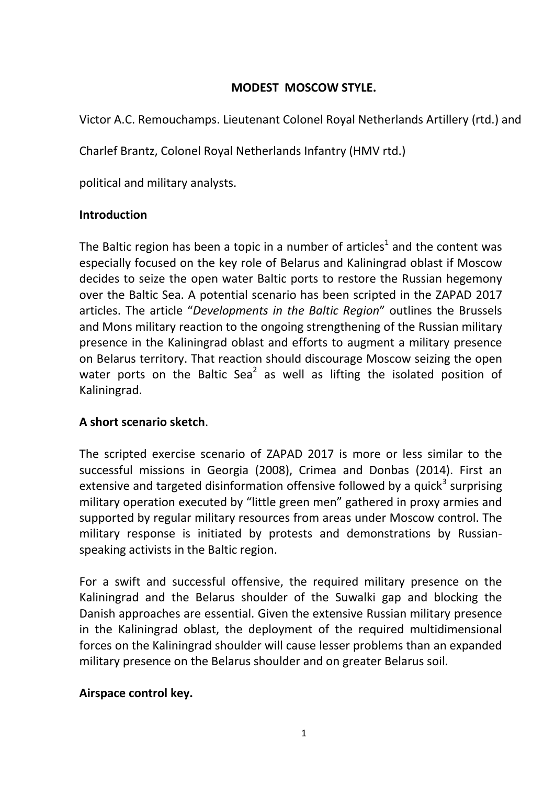# **MODEST MOSCOW STYLE.**

Victor A.C. Remouchamps. Lieutenant Colonel Royal Netherlands Artillery (rtd.) and

Charlef Brantz, Colonel Royal Netherlands Infantry (HMV rtd.)

political and military analysts.

# **Introduction**

The Baltic region has been a topic in a number of articles<sup>1</sup> and the content was especially focused on the key role of Belarus and Kaliningrad oblast if Moscow decides to seize the open water Baltic ports to restore the Russian hegemony over the Baltic Sea. A potential scenario has been scripted in the ZAPAD 2017 articles. The article "*Developments in the Baltic Region*" outlines the Brussels and Mons military reaction to the ongoing strengthening of the Russian military presence in the Kaliningrad oblast and efforts to augment a military presence on Belarus territory. That reaction should discourage Moscow seizing the open water ports on the Baltic Sea<sup>2</sup> as well as lifting the isolated position of Kaliningrad.

# **A short scenario sketch**.

The scripted exercise scenario of ZAPAD 2017 is more or less similar to the successful missions in Georgia (2008), Crimea and Donbas (2014). First an extensive and targeted disinformation offensive followed by a quick<sup>3</sup> surprising military operation executed by "little green men" gathered in proxy armies and supported by regular military resources from areas under Moscow control. The military response is initiated by protests and demonstrations by Russianspeaking activists in the Baltic region.

For a swift and successful offensive, the required military presence on the Kaliningrad and the Belarus shoulder of the Suwalki gap and blocking the Danish approaches are essential. Given the extensive Russian military presence in the Kaliningrad oblast, the deployment of the required multidimensional forces on the Kaliningrad shoulder will cause lesser problems than an expanded military presence on the Belarus shoulder and on greater Belarus soil.

# **Airspace control key.**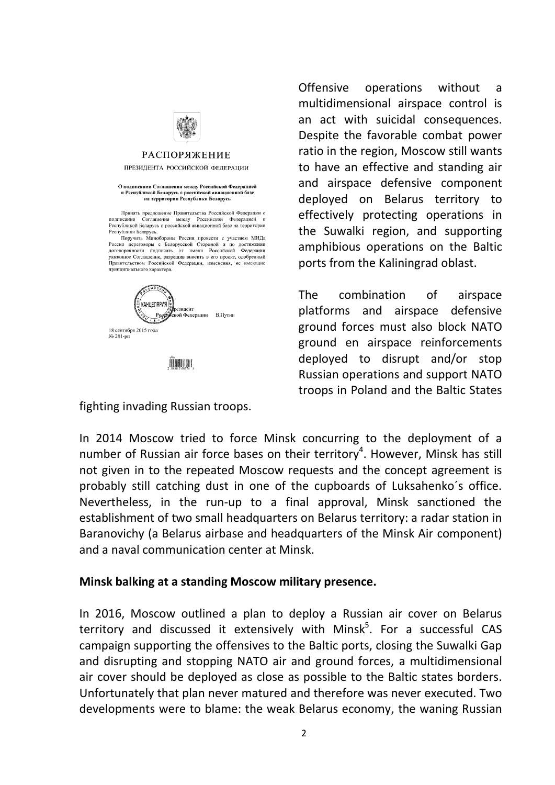

#### **РАСПОРЯЖЕНИЕ**

#### ПРЕЗИДЕНТА РОССИЙСКОЙ ФЕДЕРАЦИИ

#### О подписании Соглашения между Российской Федерацией и оснивании от оснивании последует в республикой Беларусь о российской авиационной базе<br>на территории Республики Беларусь

Принять предложение Правительства Российской Фелерации о граниза предаления гравительного технологической федерацией и<br>подписании Соглашения между Российской федерацией и<br>Республикой Беларусь о российской авиационной базе на территории Республики Беларусь.<br>Поручить Минобороны России провести с участием МИДа

поручить иниколороны госсии провести с участиям игде,<br>России переговоры с Белорусской Стороной и по достижении<br>договоренности подписать от имени Российской Федерации<br>указанное Соглашенне, разрешив вносить в его проект, од Правительством Российской Федерации, изменения, не имеющие принципиального характера.



**HARRY** 

fighting invading Russian troops.

Offensive operations without a multidimensional airspace control is an act with suicidal consequences. Despite the favorable combat power ratio in the region, Moscow still wants to have an effective and standing air and airspace defensive component deployed on Belarus territory to effectively protecting operations in the Suwalki region, and supporting amphibious operations on the Baltic ports from the Kaliningrad oblast.

The combination of airspace platforms and airspace defensive ground forces must also block NATO ground en airspace reinforcements deployed to disrupt and/or stop Russian operations and support NATO troops in Poland and the Baltic States

In 2014 Moscow tried to force Minsk concurring to the deployment of a number of Russian air force bases on their territory<sup>4</sup>. However, Minsk has still not given in to the repeated Moscow requests and the concept agreement is probably still catching dust in one of the cupboards of Luksahenko´s office. Nevertheless, in the run-up to a final approval, Minsk sanctioned the establishment of two small headquarters on Belarus territory: a radar station in Baranovichy (a Belarus airbase and headquarters of the Minsk Air component) and a naval communication center at Minsk.

### **Minsk balking at a standing Moscow military presence.**

In 2016, Moscow outlined a plan to deploy a Russian air cover on Belarus territory and discussed it extensively with Minsk<sup>5</sup>. For a successful CAS campaign supporting the offensives to the Baltic ports, closing the Suwalki Gap and disrupting and stopping NATO air and ground forces, a multidimensional air cover should be deployed as close as possible to the Baltic states borders. Unfortunately that plan never matured and therefore was never executed. Two developments were to blame: the weak Belarus economy, the waning Russian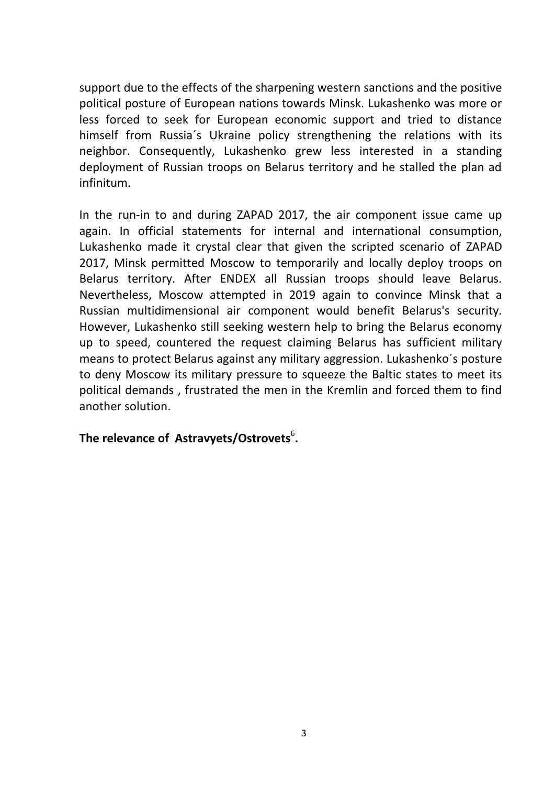support due to the effects of the sharpening western sanctions and the positive political posture of European nations towards Minsk. Lukashenko was more or less forced to seek for European economic support and tried to distance himself from Russia´s Ukraine policy strengthening the relations with its neighbor. Consequently, Lukashenko grew less interested in a standing deployment of Russian troops on Belarus territory and he stalled the plan ad infinitum.

In the run-in to and during ZAPAD 2017, the air component issue came up again. In official statements for internal and international consumption, Lukashenko made it crystal clear that given the scripted scenario of ZAPAD 2017, Minsk permitted Moscow to temporarily and locally deploy troops on Belarus territory. After ENDEX all Russian troops should leave Belarus. Nevertheless, Moscow attempted in 2019 again to convince Minsk that a Russian multidimensional air component would benefit Belarus's security. However, Lukashenko still seeking western help to bring the Belarus economy up to speed, countered the request claiming Belarus has sufficient military means to protect Belarus against any military aggression. Lukashenko´s posture to deny Moscow its military pressure to squeeze the Baltic states to meet its political demands , frustrated the men in the Kremlin and forced them to find another solution.

# The relevance of Astravyets/Ostrovets<sup>6</sup>.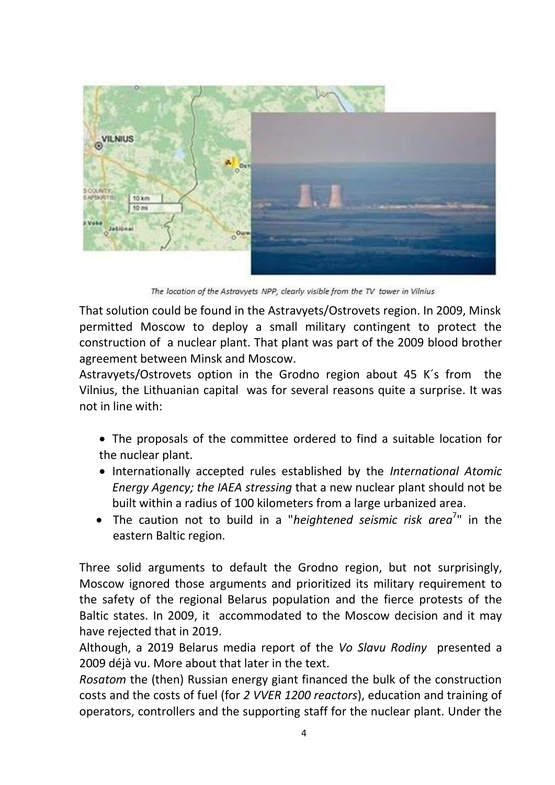

The location of the Astravyets NPP, clearly visible from the TV tower in Vilnius

That solution could be found in the Astravyets/Ostrovets region. In 2009, Minsk permitted Moscow to deploy a small military contingent to protect the construction of a nuclear plant. That plant was part of the 2009 blood brother agreement between Minsk and Moscow.

Astravyets/Ostrovets option in the Grodno region about 45 K´s from the Vilnius, the Lithuanian capital was for several reasons quite a surprise. It was not in line with:

- The proposals of the committee ordered to find a suitable location for the nuclear plant.
- Internationally accepted rules established by the *International Atomic Energy Agency; the IAEA stressing* that a new nuclear plant should not be built within a radius of 100 kilometers from a large urbanized area.
- The caution not to build in a "*heightened seismic risk area*<sup>7</sup>" in the eastern Baltic region.

Three solid arguments to default the Grodno region, but not surprisingly, Moscow ignored those arguments and prioritized its military requirement to the safety of the regional Belarus population and the fierce protests of the Baltic states. In 2009, it accommodated to the Moscow decision and it may have rejected that in 2019.

Although, a 2019 Belarus media report of the *Vo Slavu Rodiny* presented a 2009 déjà vu. More about that later in the text.

*Rosatom* the (then) Russian energy giant financed the bulk of the construction costs and the costs of fuel (for *2 VVER 1200 reactors*), education and training of operators, controllers and the supporting staff for the nuclear plant. Under the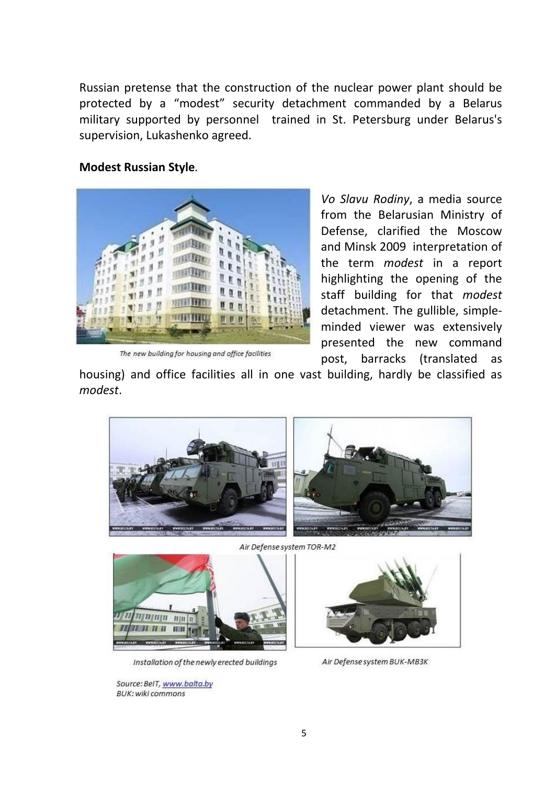Russian pretense that the construction of the nuclear power plant should be protected by a "modest" security detachment commanded by a Belarus military supported by personnel trained in St. Petersburg under Belarus's supervision, Lukashenko agreed.

### **Modest Russian Style***.*



The new building for housing and office facilities

*Vo Slavu Rodiny*, a media source from the Belarusian Ministry of Defense, clarified the Moscow and Minsk 2009 interpretation of the term *modest* in a report highlighting the opening of the staff building for that *modest* detachment. The gullible, simpleminded viewer was extensively presented the new command post, barracks (translated as

housing) and office facilities all in one vast building, hardly be classified as *modest*.



Air Defense system TOR-M2



Installation of the newly erected buildings

Source: BeIT, www.balta.by **BUK: wiki commons** 

Air Defense system BUK-MB3K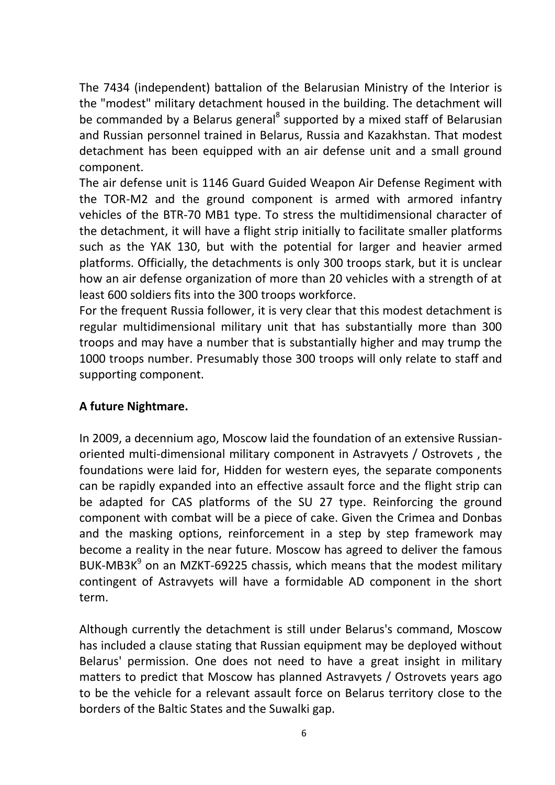The 7434 (independent) battalion of the Belarusian Ministry of the Interior is the "modest" military detachment housed in the building. The detachment will be commanded by a Belarus general<sup>8</sup> supported by a mixed staff of Belarusian and Russian personnel trained in Belarus, Russia and Kazakhstan. That modest detachment has been equipped with an air defense unit and a small ground component.

The air defense unit is 1146 Guard Guided Weapon Air Defense Regiment with the TOR-M2 and the ground component is armed with armored infantry vehicles of the BTR-70 MB1 type. To stress the multidimensional character of the detachment, it will have a flight strip initially to facilitate smaller platforms such as the YAK 130, but with the potential for larger and heavier armed platforms. Officially, the detachments is only 300 troops stark, but it is unclear how an air defense organization of more than 20 vehicles with a strength of at least 600 soldiers fits into the 300 troops workforce.

For the frequent Russia follower, it is very clear that this modest detachment is regular multidimensional military unit that has substantially more than 300 troops and may have a number that is substantially higher and may trump the 1000 troops number. Presumably those 300 troops will only relate to staff and supporting component.

# **A future Nightmare.**

In 2009, a decennium ago, Moscow laid the foundation of an extensive Russianoriented multi-dimensional military component in Astravyets / Ostrovets , the foundations were laid for, Hidden for western eyes, the separate components can be rapidly expanded into an effective assault force and the flight strip can be adapted for CAS platforms of the SU 27 type. Reinforcing the ground component with combat will be a piece of cake. Given the Crimea and Donbas and the masking options, reinforcement in a step by step framework may become a reality in the near future. Moscow has agreed to deliver the famous BUK-MB3K $<sup>9</sup>$  on an MZKT-69225 chassis, which means that the modest military</sup> contingent of Astravyets will have a formidable AD component in the short term.

Although currently the detachment is still under Belarus's command, Moscow has included a clause stating that Russian equipment may be deployed without Belarus' permission. One does not need to have a great insight in military matters to predict that Moscow has planned Astravyets / Ostrovets years ago to be the vehicle for a relevant assault force on Belarus territory close to the borders of the Baltic States and the Suwalki gap.